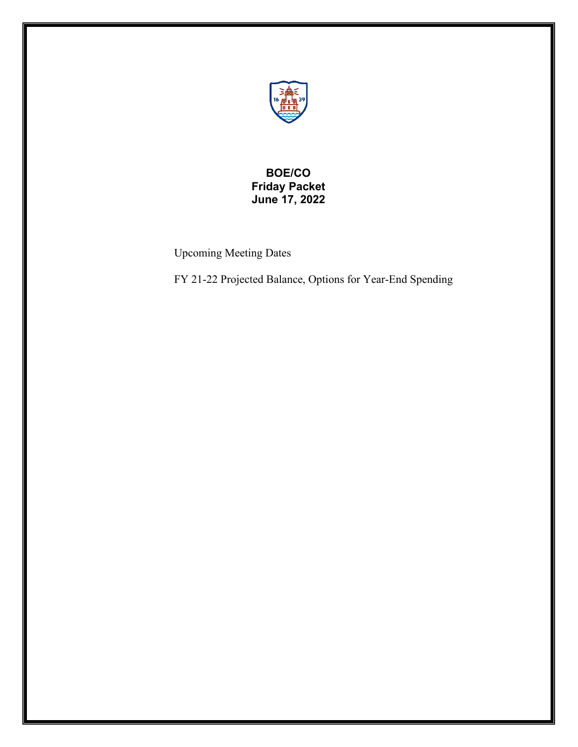

## **BOE/CO Friday Packet June 17, 2022**

Upcoming Meeting Dates

FY 21-22 Projected Balance, Options for Year-End Spending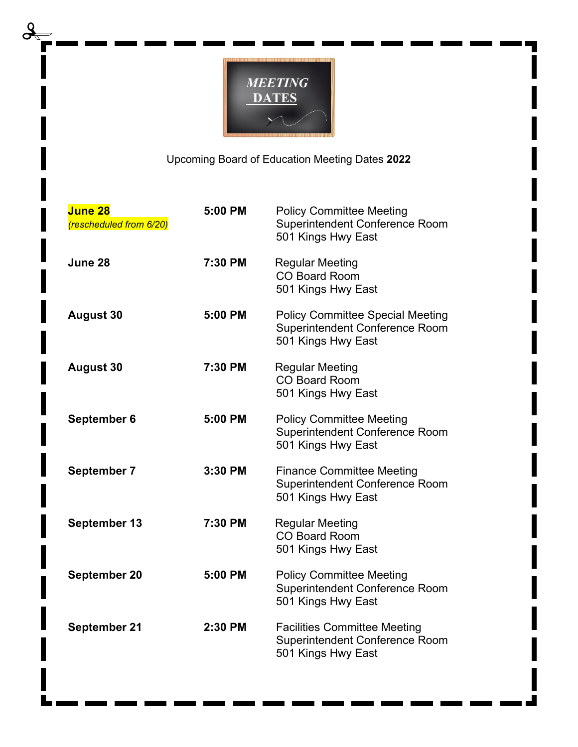

Upcoming Board of Education Meeting Dates **2022**

| <b>June 28</b><br>(rescheduled from 6/20) | 5:00 PM | <b>Policy Committee Meeting</b><br><b>Superintendent Conference Room</b><br>501 Kings Hwy East         |
|-------------------------------------------|---------|--------------------------------------------------------------------------------------------------------|
| June 28                                   | 7:30 PM | <b>Regular Meeting</b><br><b>CO Board Room</b><br>501 Kings Hwy East                                   |
| <b>August 30</b>                          | 5:00 PM | <b>Policy Committee Special Meeting</b><br><b>Superintendent Conference Room</b><br>501 Kings Hwy East |
| <b>August 30</b>                          | 7:30 PM | <b>Regular Meeting</b><br><b>CO Board Room</b><br>501 Kings Hwy East                                   |
| September 6                               | 5:00 PM | <b>Policy Committee Meeting</b><br>Superintendent Conference Room<br>501 Kings Hwy East                |
| September 7                               | 3:30 PM | <b>Finance Committee Meeting</b><br><b>Superintendent Conference Room</b><br>501 Kings Hwy East        |
| September 13                              | 7:30 PM | <b>Regular Meeting</b><br><b>CO Board Room</b><br>501 Kings Hwy East                                   |
| September 20                              | 5:00 PM | <b>Policy Committee Meeting</b><br><b>Superintendent Conference Room</b><br>501 Kings Hwy East         |
| September 21                              | 2:30 PM | <b>Facilities Committee Meeting</b><br><b>Superintendent Conference Room</b><br>501 Kings Hwy East     |